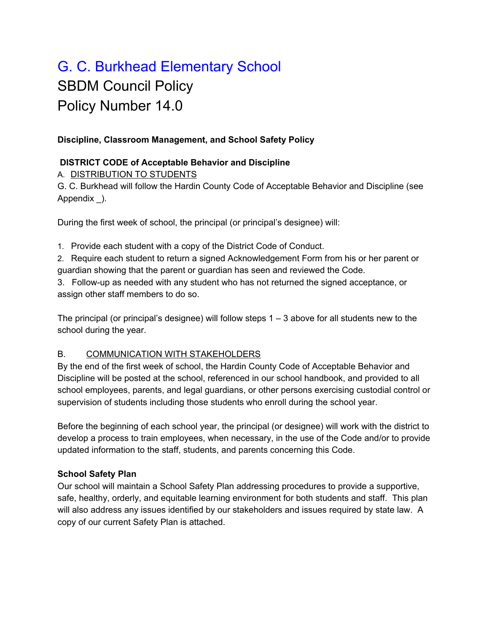# G. C. Burkhead Elementary School SBDM Council Policy Policy Number 14.0

## **Discipline, Classroom Management, and School Safety Policy**

#### **DISTRICT CODE of Acceptable Behavior and Discipline**

A. DISTRIBUTION TO STUDENTS

G. C. Burkhead will follow the Hardin County Code of Acceptable Behavior and Discipline (see Appendix \_).

During the first week of school, the principal (or principal's designee) will:

1. Provide each student with a copy of the District Code of Conduct.

2. Require each student to return a signed Acknowledgement Form from his or her parent or guardian showing that the parent or guardian has seen and reviewed the Code.

3. Follow-up as needed with any student who has not returned the signed acceptance, or assign other staff members to do so.

The principal (or principal's designee) will follow steps  $1 - 3$  above for all students new to the school during the year.

## B. COMMUNICATION WITH STAKEHOLDERS

By the end of the first week of school, the Hardin County Code of Acceptable Behavior and Discipline will be posted at the school, referenced in our school handbook, and provided to all school employees, parents, and legal guardians, or other persons exercising custodial control or supervision of students including those students who enroll during the school year.

Before the beginning of each school year, the principal (or designee) will work with the district to develop a process to train employees, when necessary, in the use of the Code and/or to provide updated information to the staff, students, and parents concerning this Code.

## **School Safety Plan**

Our school will maintain a School Safety Plan addressing procedures to provide a supportive, safe, healthy, orderly, and equitable learning environment for both students and staff. This plan will also address any issues identified by our stakeholders and issues required by state law. A copy of our current Safety Plan is attached.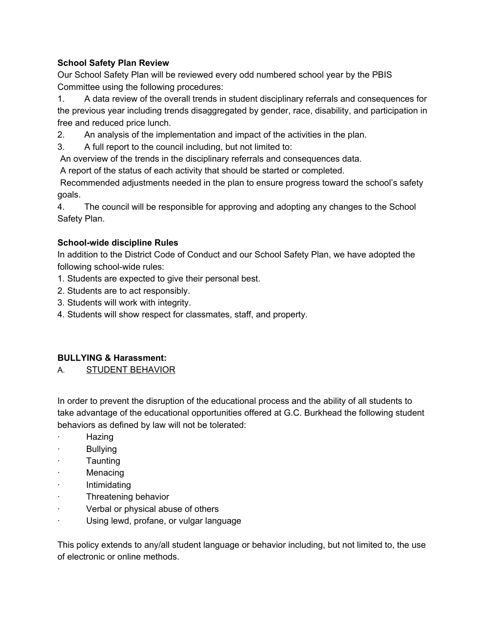# **School Safety Plan Review**

Our School Safety Plan will be reviewed every odd numbered school year by the PBIS Committee using the following procedures:

1. A data review of the overall trends in student disciplinary referrals and consequences for the previous year including trends disaggregated by gender, race, disability, and participation in free and reduced price lunch.

2. An analysis of the implementation and impact of the activities in the plan.

3. A full report to the council including, but not limited to:

An overview of the trends in the disciplinary referrals and consequences data.

A report of the status of each activity that should be started or completed.

Recommended adjustments needed in the plan to ensure progress toward the school's safety goals.

4. The council will be responsible for approving and adopting any changes to the School Safety Plan.

## **School-wide discipline Rules**

In addition to the District Code of Conduct and our School Safety Plan, we have adopted the following school-wide rules:

- 1. Students are expected to give their personal best.
- 2. Students are to act responsibly.
- 3. Students will work with integrity.
- 4. Students will show respect for classmates, staff, and property.

## **BULLYING & Harassment:**

A. STUDENT BEHAVIOR

In order to prevent the disruption of the educational process and the ability of all students to take advantage of the educational opportunities offered at G.C. Burkhead the following student behaviors as defined by law will not be tolerated:

- · Hazing
- **Bullying**
- **Taunting**
- **Menacing**
- · Intimidating
- · Threatening behavior
- Verbal or physical abuse of others
- · Using lewd, profane, or vulgar language

This policy extends to any/all student language or behavior including, but not limited to, the use of electronic or online methods.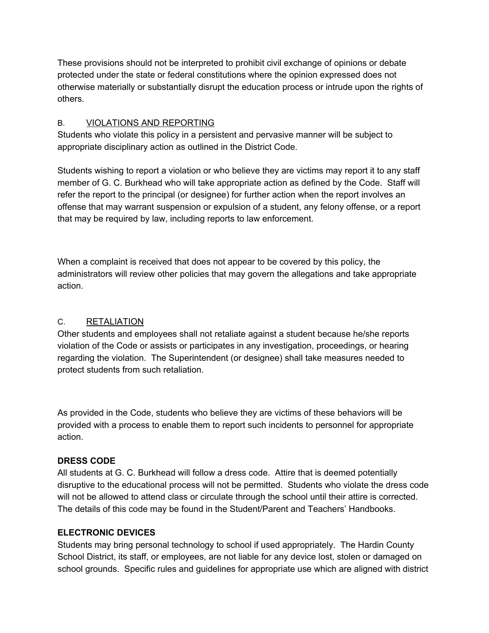These provisions should not be interpreted to prohibit civil exchange of opinions or debate protected under the state or federal constitutions where the opinion expressed does not otherwise materially or substantially disrupt the education process or intrude upon the rights of others.

## B. **VIOLATIONS AND REPORTING**

Students who violate this policy in a persistent and pervasive manner will be subject to appropriate disciplinary action as outlined in the District Code.

Students wishing to report a violation or who believe they are victims may report it to any staff member of G. C. Burkhead who will take appropriate action as defined by the Code. Staff will refer the report to the principal (or designee) for further action when the report involves an offense that may warrant suspension or expulsion of a student, any felony offense, or a report that may be required by law, including reports to law enforcement.

When a complaint is received that does not appear to be covered by this policy, the administrators will review other policies that may govern the allegations and take appropriate action.

## C. RETALIATION

Other students and employees shall not retaliate against a student because he/she reports violation of the Code or assists or participates in any investigation, proceedings, or hearing regarding the violation. The Superintendent (or designee) shall take measures needed to protect students from such retaliation.

As provided in the Code, students who believe they are victims of these behaviors will be provided with a process to enable them to report such incidents to personnel for appropriate action.

## **DRESS CODE**

All students at G. C. Burkhead will follow a dress code. Attire that is deemed potentially disruptive to the educational process will not be permitted. Students who violate the dress code will not be allowed to attend class or circulate through the school until their attire is corrected. The details of this code may be found in the Student/Parent and Teachers' Handbooks.

## **ELECTRONIC DEVICES**

Students may bring personal technology to school if used appropriately. The Hardin County School District, its staff, or employees, are not liable for any device lost, stolen or damaged on school grounds. Specific rules and guidelines for appropriate use which are aligned with district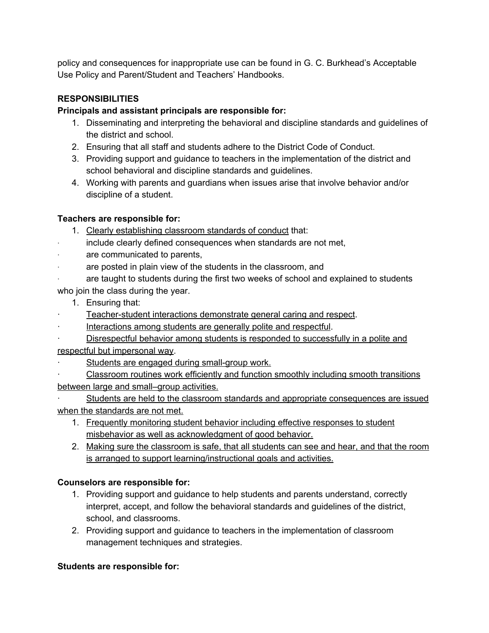policy and consequences for inappropriate use can be found in G. C. Burkhead's Acceptable Use Policy and Parent/Student and Teachers' Handbooks.

# **RESPONSIBILITIES**

## **Principals and assistant principals are responsible for:**

- 1. Disseminating and interpreting the behavioral and discipline standards and guidelines of the district and school.
- 2. Ensuring that all staff and students adhere to the District Code of Conduct.
- 3. Providing support and guidance to teachers in the implementation of the district and school behavioral and discipline standards and guidelines.
- 4. Working with parents and guardians when issues arise that involve behavior and/or discipline of a student.

## **Teachers are responsible for:**

- 1. Clearly establishing classroom standards of conduct that:
- include clearly defined consequences when standards are not met,
- are communicated to parents,
- are posted in plain view of the students in the classroom, and
- are taught to students during the first two weeks of school and explained to students who join the class during the year.
	- 1. Ensuring that:
- Teacher-student interactions demonstrate general caring and respect.
- Interactions among students are generally polite and respectful.
- Disrespectful behavior among students is responded to successfully in a polite and respectful but impersonal way.
- Students are engaged during small-group work.
- · Classroom routines work efficiently and function smoothly including smooth transitions between large and small–group activities.
- Students are held to the classroom standards and appropriate consequences are issued when the standards are not met.
	- 1. Frequently monitoring student behavior including effective responses to student misbehavior as well as acknowledgment of good behavior.
	- 2. Making sure the classroom is safe, that all students can see and hear, and that the room is arranged to support learning/instructional goals and activities.

# **Counselors are responsible for:**

- 1. Providing support and guidance to help students and parents understand, correctly interpret, accept, and follow the behavioral standards and guidelines of the district, school, and classrooms.
- 2. Providing support and guidance to teachers in the implementation of classroom management techniques and strategies.

## **Students are responsible for:**